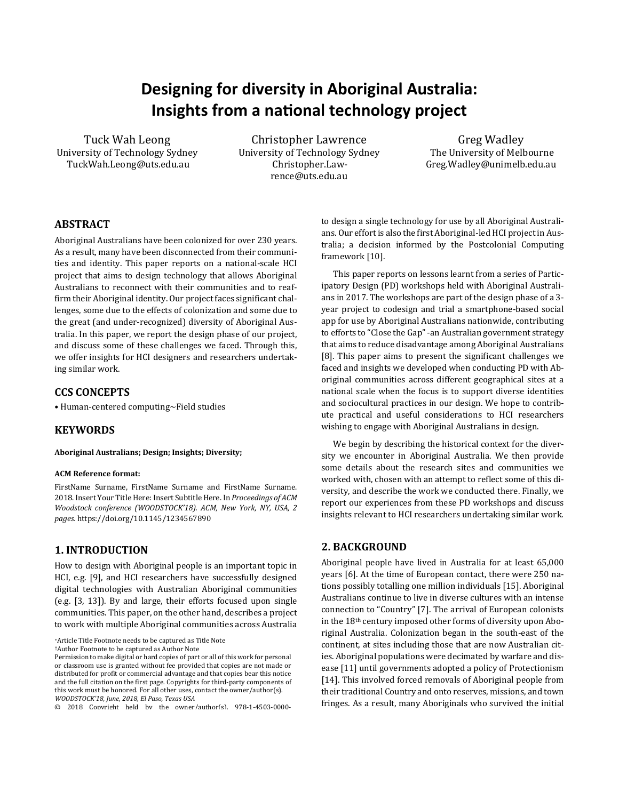# **Designing for diversity in Aboriginal Australia: Insights from a na�onal technology project**

Tuck Wah Leong University of Technology Sydney TuckWah.Leong@uts.edu.au

Christopher Lawrence University of Technology Sydney Christopher.Lawrence@uts.edu.au

Greg Wadley The University of Melbourne Greg.Wadley@unimelb.edu.au

# **ABSTRACT**

Aboriginal Australians have been colonized for over 230 years. As a result, many have been disconnected from their communities and identity. This paper reports on a national-scale HCI project that aims to design technology that allows Aboriginal Australians to reconnect with their communities and to reaf firm their Aboriginal identity. Our project faces significant challenges, some due to the effects of colonization and some due to the great (and under-recognized) diversity of Aboriginal Australia. In this paper, we report the design phase of our project, and discuss some of these challenges we faced. Through this, we offer insights for HCI designers and researchers undertaking similar work.

## **CCS CONCEPTS**

• Human-centered computing~Field studies

## **KEYWORDS**

**Aboriginal Australians; Design; Insights; Diversity;** 

#### **ACM Reference format:**

FirstName Surname, FirstName Surname and FirstName Surname. 2018. Insert Your Title Here: Insert Subtitle Here. In *Proceedings of ACM Woodstock conference (WOODSTOCK'18). ACM, New York, NY, USA, 2 pages.* https://doi.org/10.1145/1234567890

# **1. INTRODUCTION**

How to design with Aboriginal people is an important topic in HCI, e.g. [9], and HCI researchers have successfully designed digital technologies with Australian Aboriginal communities (e.g. [3, 13]). By and large, their efforts focused upon single communities. This paper, on the other hand, describes a project to work with multiple Aboriginal communities across Australia

<sup>∗</sup>Article Title Footnote needs to be captured as Title Note

†Author Footnote to be captured as Author Note

to design a single technology for use by all Aboriginal Australians. Our effort is also the first Aboriginal-led HCI project in Australia; a decision informed by the Postcolonial Computing framework [10].

This paper reports on lessons learnt from a series of Participatory Design (PD) workshops held with Aboriginal Australians in 2017. The workshops are part of the design phase of a 3 year project to codesign and trial a smartphone-based social app for use by Aboriginal Australians nationwide, contributing to efforts to "Close the Gap"-an Australian government strategy that aims to reduce disadvantage among Aboriginal Australians [8]. This paper aims to present the significant challenges we faced and insights we developed when conducting PD with Aboriginal communities across different geographical sites at a national scale when the focus is to support diverse identities and sociocultural practices in our design. We hope to contribute practical and useful considerations to HCI researchers wishing to engage with Aboriginal Australians in design.

We begin by describing the historical context for the diversity we encounter in Aboriginal Australia. We then provide some details about the research sites and communities we worked with, chosen with an attempt to reflect some of this diversity, and describe the work we conducted there. Finally, we report our experiences from these PD workshops and discuss insights relevant to HCI researchers undertaking similar work.

#### **2. BACKGROUND**

Aboriginal people have lived in Australia for at least 65,000 years [6]. At the time of European contact, there were 250 nations possibly totalling one million individuals [15]. Aboriginal Australians continue to live in diverse cultures with an intense connection to "Country" [7]. The arrival of European colonists in the 18th century imposed other forms of diversity upon Aboriginal Australia. Colonization began in the south-east of the continent, at sites including those that are now Australian cities. Aboriginal populations were decimated by warfare and disease [11] until governments adopted a policy of Protectionism [14]. This involved forced removals of Aboriginal people from their traditional Country and onto reserves, missions, and town fringes. As a result, many Aboriginals who survived the initial

Permission to make digital or hard copies of part or all of this work for personal or classroom use is granted without fee provided that copies are not made or distributed for profit or commercial advantage and that copies bear this notice and the full citation on the first page. Copyrights for third-party components of this work must be honored. For all other uses, contact the owner/author(s). *WOODSTOCK'18, June, 2018, El Paso, Texas USA*

<sup>© 2018</sup> Copyright held by the owner/author(s). 978-1-4503-0000-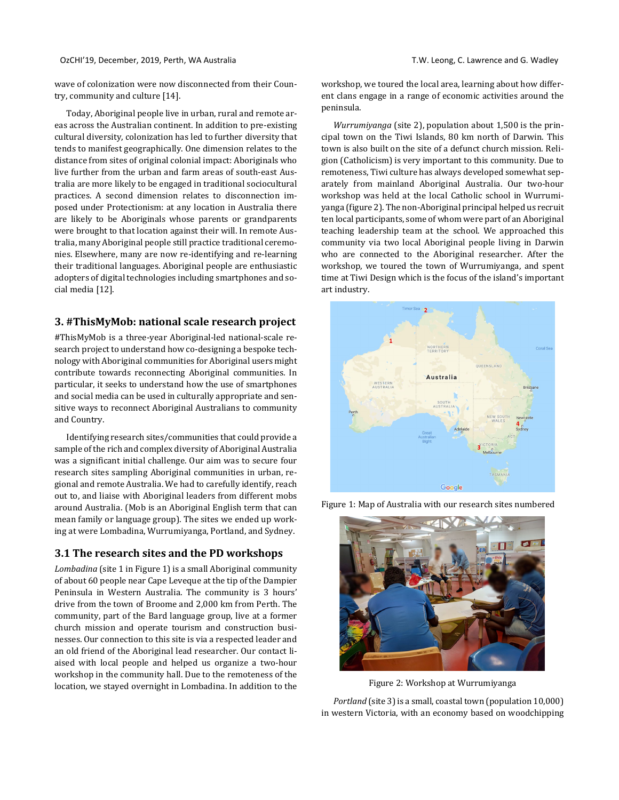#### OzCHI'19, December, 2019, Perth, WA Australia T.W. Leong, C. Lawrence and G. Wadley

wave of colonization were now disconnected from their Country, community and culture [14].

Today, Aboriginal people live in urban, rural and remote areas across the Australian continent. In addition to pre-existing cultural diversity, colonization has led to further diversity that tends to manifest geographically. One dimension relates to the distance from sites of original colonial impact: Aboriginals who live further from the urban and farm areas of south-east Australia are more likely to be engaged in traditional sociocultural practices. A second dimension relates to disconnection imposed under Protectionism: at any location in Australia there are likely to be Aboriginals whose parents or grandparents were brought to that location against their will. In remote Australia, many Aboriginal people still practice traditional ceremonies. Elsewhere, many are now re-identifying and re-learning their traditional languages. Aboriginal people are enthusiastic adopters of digital technologies including smartphones and social media [12].

## **3. #ThisMyMob: national scale research project**

#ThisMyMob is a three-year Aboriginal-led national-scale research project to understand how co-designing a bespoke technology with Aboriginal communities for Aboriginal users might contribute towards reconnecting Aboriginal communities. In particular, it seeks to understand how the use of smartphones and social media can be used in culturally appropriate and sensitive ways to reconnect Aboriginal Australians to community and Country.

Identifying research sites/communities that could provide a sample of the rich and complex diversity of Aboriginal Australia was a significant initial challenge. Our aim was to secure four research sites sampling Aboriginal communities in urban, regional and remote Australia. We had to carefully identify, reach out to, and liaise with Aboriginal leaders from different mobs around Australia. (Mob is an Aboriginal English term that can mean family or language group). The sites we ended up working at were Lombadina, Wurrumiyanga, Portland, and Sydney.

## **3.1 The research sites and the PD workshops**

*Lombadina* (site 1 in Figure 1) is a small Aboriginal community of about 60 people near Cape Leveque at the tip of the Dampier Peninsula in Western Australia. The community is 3 hours' drive from the town of Broome and 2,000 km from Perth. The community, part of the Bard language group, live at a former church mission and operate tourism and construction businesses. Our connection to this site is via a respected leader and an old friend of the Aboriginal lead researcher. Our contact liaised with local people and helped us organize a two-hour workshop in the community hall. Due to the remoteness of the location, we stayed overnight in Lombadina. In addition to the

workshop, we toured the local area, learning about how different clans engage in a range of economic activities around the peninsula.

*Wurrumiyanga* (site 2), population about 1,500 is the principal town on the Tiwi Islands, 80 km north of Darwin. This town is also built on the site of a defunct church mission. Religion (Catholicism) is very important to this community. Due to remoteness, Tiwi culture has always developed somewhat separately from mainland Aboriginal Australia. Our two-hour workshop was held at the local Catholic school in Wurrumiyanga (figure 2). The non-Aboriginal principal helped us recruit ten local participants, some of whom were part of an Aboriginal teaching leadership team at the school. We approached this community via two local Aboriginal people living in Darwin who are connected to the Aboriginal researcher. After the workshop, we toured the town of Wurrumiyanga, and spent time at Tiwi Design which is the focus of the island's important art industry.





Figure 1: Map of Australia with our research sites numbered

Figure 2: Workshop at Wurrumiyanga

*Portland* (site 3) is a small, coastal town (population 10,000) in western Victoria, with an economy based on woodchipping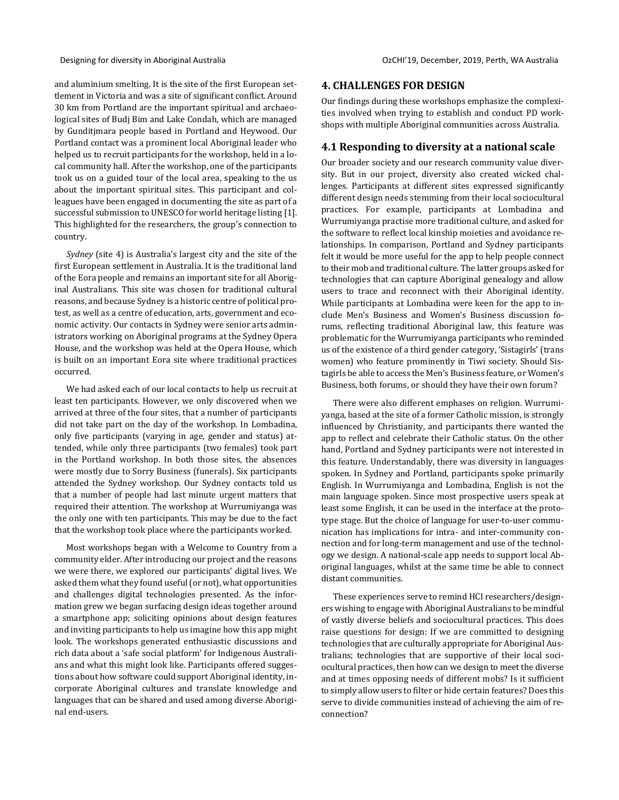and aluminium smelting. It is the site of the first European settlement in Victoria and was a site of significant conflict. Around 30 km from Portland are the important spiritual and archaeological sites of Budj Bim and Lake Condah, which are managed by Gunditjmara people based in Portland and Heywood. Our Portland contact was a prominent local Aboriginal leader who helped us to recruit participants for the workshop, held in a local community hall. After the workshop, one of the participants took us on a guided tour of the local area, speaking to the us about the important spiritual sites. This participant and colleagues have been engaged in documenting the site as part of a successful submission to UNESCO for world heritage listing [1]. This highlighted for the researchers, the group's connection to country.

*Sydney* (site 4) is Australia's largest city and the site of the first European settlement in Australia. It is the traditional land of the Eora people and remains an important site for all Aboriginal Australians. This site was chosen for traditional cultural reasons, and because Sydney is a historic centre of political protest, as well as a centre of education, arts, government and economic activity. Our contacts in Sydney were senior arts administrators working on Aboriginal programs at the Sydney Opera House, and the workshop was held at the Opera House, which is built on an important Eora site where traditional practices occurred.

We had asked each of our local contacts to help us recruit at least ten participants. However, we only discovered when we arrived at three of the four sites, that a number of participants did not take part on the day of the workshop. In Lombadina, only five participants (varying in age, gender and status) attended, while only three participants (two females) took part in the Portland workshop. In both those sites, the absences were mostly due to Sorry Business (funerals). Six participants attended the Sydney workshop. Our Sydney contacts told us that a number of people had last minute urgent matters that required their attention. The workshop at Wurrumiyanga was the only one with ten participants. This may be due to the fact that the workshop took place where the participants worked.

Most workshops began with a Welcome to Country from a community elder. After introducing our project and the reasons we were there, we explored our participants' digital lives. We asked them what they found useful (or not), what opportunities and challenges digital technologies presented. As the information grew we began surfacing design ideas together around a smartphone app; soliciting opinions about design features and inviting participants to help us imagine how this app might look. The workshops generated enthusiastic discussions and rich data about a 'safe social platform' for Indigenous Australians and what this might look like. Participants offered suggestions about how software could support Aboriginal identity, incorporate Aboriginal cultures and translate knowledge and languages that can be shared and used among diverse Aboriginal end-users.

#### **4. CHALLENGES FOR DESIGN**

Our findings during these workshops emphasize the complexities involved when trying to establish and conduct PD workshops with multiple Aboriginal communities across Australia.

#### **4.1 Responding to diversity at a national scale**

Our broader society and our research community value diversity. But in our project, diversity also created wicked challenges. Participants at different sites expressed significantly different design needs stemming from their local sociocultural practices. For example, participants at Lombadina and Wurrumiyanga practise more traditional culture, and asked for the software to reflect local kinship moieties and avoidance relationships. In comparison, Portland and Sydney participants felt it would be more useful for the app to help people connect to their mob and traditional culture. The latter groups asked for technologies that can capture Aboriginal genealogy and allow users to trace and reconnect with their Aboriginal identity. While participants at Lombadina were keen for the app to include Men's Business and Women's Business discussion forums, reflecting traditional Aboriginal law, this feature was problematic for the Wurrumiyanga participants who reminded us of the existence of a third gender category, 'Sistagirls' (trans women) who feature prominently in Tiwi society. Should Sistagirls be able to access the Men's Business feature, or Women's Business, both forums, or should they have their own forum?

There were also different emphases on religion. Wurrumiyanga, based at the site of a former Catholic mission, is strongly influenced by Christianity, and participants there wanted the app to reflect and celebrate their Catholic status. On the other hand, Portland and Sydney participants were not interested in this feature. Understandably, there was diversity in languages spoken. In Sydney and Portland, participants spoke primarily English. In Wurrumiyanga and Lombadina, English is not the main language spoken. Since most prospective users speak at least some English, it can be used in the interface at the prototype stage. But the choice of language for user-to-user communication has implications for intra- and inter-community connection and for long-term management and use of the technology we design. A national-scale app needs to support local Aboriginal languages, whilst at the same time be able to connect distant communities.

These experiences serve to remind HCI researchers/designers wishing to engage with Aboriginal Australians to be mindful of vastly diverse beliefs and sociocultural practices. This does raise questions for design: If we are committed to designing technologies that are culturally appropriate for Aboriginal Australians; technologies that are supportive of their local sociocultural practices, then how can we design to meet the diverse and at times opposing needs of different mobs? Is it sufficient to simply allow users to filter or hide certain features? Does this serve to divide communities instead of achieving the aim of reconnection?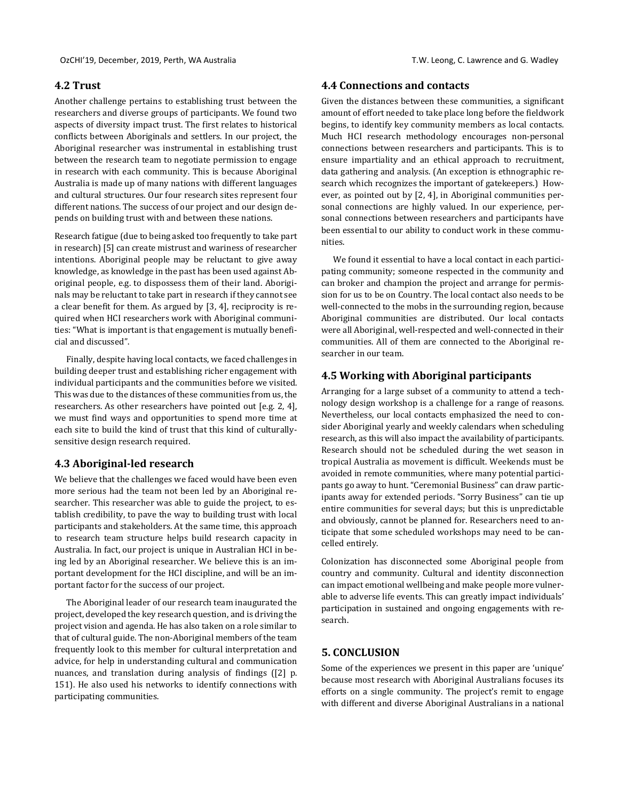#### **4.2 Trust**

Another challenge pertains to establishing trust between the researchers and diverse groups of participants. We found two aspects of diversity impact trust. The first relates to historical conflicts between Aboriginals and settlers. In our project, the Aboriginal researcher was instrumental in establishing trust between the research team to negotiate permission to engage in research with each community. This is because Aboriginal Australia is made up of many nations with different languages and cultural structures. Our four research sites represent four different nations. The success of our project and our design depends on building trust with and between these nations.

Research fatigue (due to being asked too frequently to take part in research) [5] can create mistrust and wariness of researcher intentions. Aboriginal people may be reluctant to give away knowledge, as knowledge in the past has been used against Aboriginal people, e.g. to dispossess them of their land. Aboriginals may be reluctant to take part in research if they cannot see a clear benefit for them. As argued by [3, 4], reciprocity is required when HCI researchers work with Aboriginal communities: "What is important is that engagement is mutually beneficial and discussed".

Finally, despite having local contacts, we faced challenges in building deeper trust and establishing richer engagement with individual participants and the communities before we visited. This was due to the distances of these communities from us, the researchers. As other researchers have pointed out [e.g. 2, 4], we must find ways and opportunities to spend more time at each site to build the kind of trust that this kind of culturallysensitive design research required.

#### **4.3 Aboriginal-led research**

We believe that the challenges we faced would have been even more serious had the team not been led by an Aboriginal researcher. This researcher was able to guide the project, to establish credibility, to pave the way to building trust with local participants and stakeholders. At the same time, this approach to research team structure helps build research capacity in Australia. In fact, our project is unique in Australian HCI in being led by an Aboriginal researcher. We believe this is an important development for the HCI discipline, and will be an important factor for the success of our project.

The Aboriginal leader of our research team inaugurated the project, developed the key research question, and is driving the project vision and agenda. He has also taken on a role similar to that of cultural guide. The non-Aboriginal members of the team frequently look to this member for cultural interpretation and advice, for help in understanding cultural and communication nuances, and translation during analysis of findings ([2] p. 151). He also used his networks to identify connections with participating communities.

## **4.4 Connections and contacts**

Given the distances between these communities, a significant amount of effort needed to take place long before the fieldwork begins, to identify key community members as local contacts. Much HCI research methodology encourages non-personal connections between researchers and participants. This is to ensure impartiality and an ethical approach to recruitment, data gathering and analysis. (An exception is ethnographic research which recognizes the important of gatekeepers.) However, as pointed out by [2, 4], in Aboriginal communities personal connections are highly valued. In our experience, personal connections between researchers and participants have been essential to our ability to conduct work in these communities.

We found it essential to have a local contact in each participating community; someone respected in the community and can broker and champion the project and arrange for permission for us to be on Country. The local contact also needs to be well-connected to the mobs in the surrounding region, because Aboriginal communities are distributed. Our local contacts were all Aboriginal, well-respected and well-connected in their communities. All of them are connected to the Aboriginal researcher in our team.

#### **4.5 Working with Aboriginal participants**

Arranging for a large subset of a community to attend a technology design workshop is a challenge for a range of reasons. Nevertheless, our local contacts emphasized the need to consider Aboriginal yearly and weekly calendars when scheduling research, as this will also impact the availability of participants. Research should not be scheduled during the wet season in tropical Australia as movement is difficult. Weekends must be avoided in remote communities, where many potential participants go away to hunt. "Ceremonial Business" can draw participants away for extended periods. "Sorry Business" can tie up entire communities for several days; but this is unpredictable and obviously, cannot be planned for. Researchers need to anticipate that some scheduled workshops may need to be cancelled entirely.

Colonization has disconnected some Aboriginal people from country and community. Cultural and identity disconnection can impact emotional wellbeing and make people more vulnerable to adverse life events. This can greatly impact individuals' participation in sustained and ongoing engagements with research.

# **5. CONCLUSION**

Some of the experiences we present in this paper are 'unique' because most research with Aboriginal Australians focuses its efforts on a single community. The project's remit to engage with different and diverse Aboriginal Australians in a national